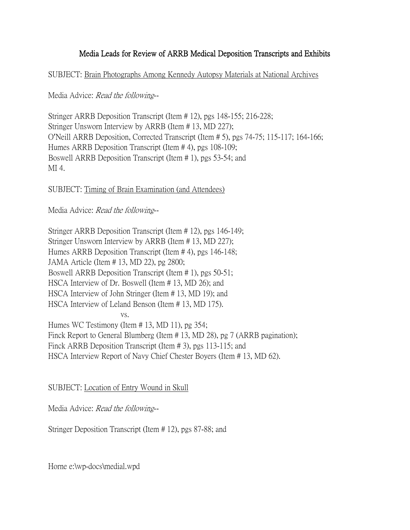## Media Leads for Review of ARRB Medical Deposition Transcripts and Exhibits

## SUBJECT: Brain Photographs Among Kennedy Autopsy Materials at National Archives

Media Advice: Read the following--

Stringer ARRB Deposition Transcript (Item # 12), pgs 148-155; 216-228; Stringer Unsworn Interview by ARRB (Item # 13, MD 227); O'Neill ARRB Deposition, Corrected Transcript (Item # 5), pgs 74-75; 115-117; 164-166; Humes ARRB Deposition Transcript (Item # 4), pgs 108-109; Boswell ARRB Deposition Transcript (Item # 1), pgs 53-54; and MI 4.

SUBJECT: Timing of Brain Examination (and Attendees)

Media Advice: Read the following--

Stringer ARRB Deposition Transcript (Item # 12), pgs 146-149; Stringer Unsworn Interview by ARRB (Item # 13, MD 227); Humes ARRB Deposition Transcript (Item # 4), pgs 146-148; JAMA Article (Item # 13, MD 22), pg 2800; Boswell ARRB Deposition Transcript (Item # 1), pgs 50-51; HSCA Interview of Dr. Boswell (Item # 13, MD 26); and HSCA Interview of John Stringer (Item # 13, MD 19); and HSCA Interview of Leland Benson (Item # 13, MD 175). vs. Humes WC Testimony (Item # 13, MD 11), pg 354; Finck Report to General Blumberg (Item # 13, MD 28), pg 7 (ARRB pagination); Finck ARRB Deposition Transcript (Item # 3), pgs 113-115; and HSCA Interview Report of Navy Chief Chester Boyers (Item # 13, MD 62).

SUBJECT: Location of Entry Wound in Skull

Media Advice: Read the following--

Stringer Deposition Transcript (Item # 12), pgs 87-88; and

Horne e:\wp-docs\medial.wpd